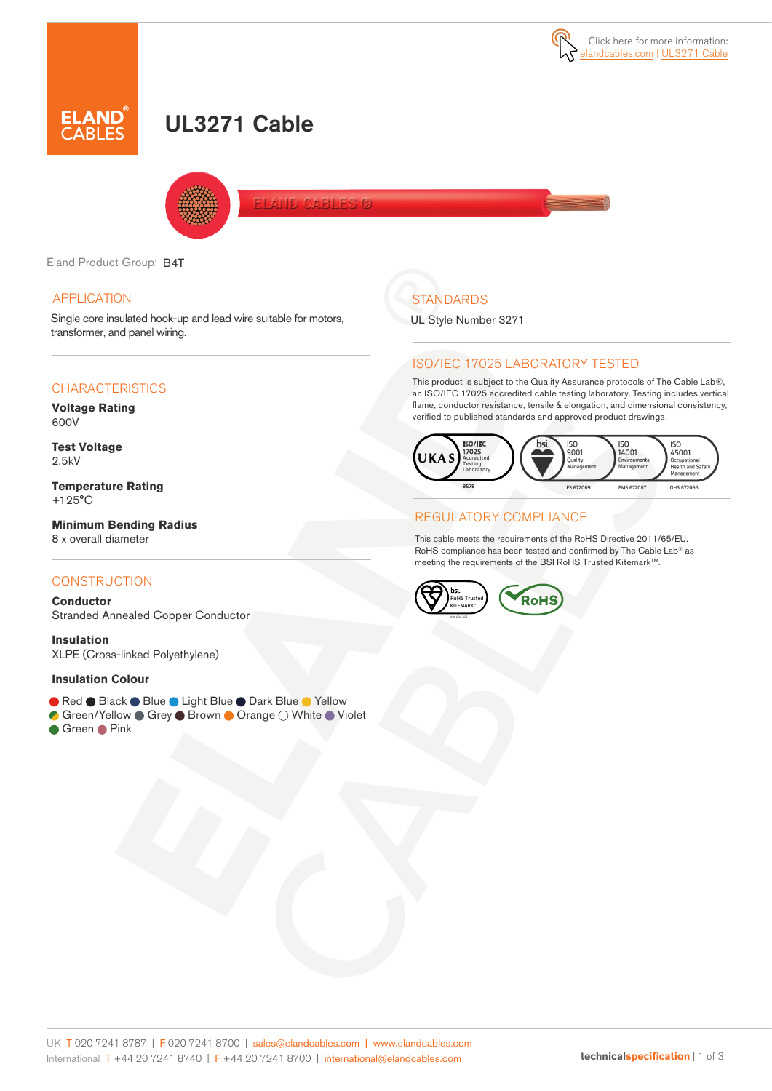# **.AND**<br>\BLES

## UL3271 Cable



**DARIES** 

Eland Product Group: B4T

#### APPLICATION

Single core insulated hook-up and lead wire suitable for motors, transformer, and panel wiring.

#### **CHARACTERISTICS**

**Voltage Rating** 600V

**Test Voltage** 2.5kV

**Temperature Rating**  +125°C

**Minimum Bending Radius**  8 x overall diameter

#### **CONSTRUCTION**

**Conductor** Stranded Annealed Copper Conductor

**Insulation** XLPE (Cross-linked Polyethylene)

#### **Insulation Colour**

- Red Black Blue Light Blue Dark Blue Yellow
- Green/Yellow Grey Brown Orange O White Violet
- Green Pink

## **STANDARDS**

UL Style Number 3271

#### ISO/IEC 17025 LABORATORY TESTED

This product is subject to the Quality Assurance protocols of The Cable Lab®, an ISO/IEC 17025 accredited cable testing laboratory. Testing includes vertical flame, conductor resistance, tensile & elongation, and dimensional consistency, verified to published standards and approved product drawings.



#### REGULATORY COMPLIANCE

This cable meets the requirements of the RoHS Directive 2011/65/EU. RoHS compliance has been tested and confirmed by The Cable Lab® as meeting the requirements of the BSI RoHS Trusted KitemarkTM.

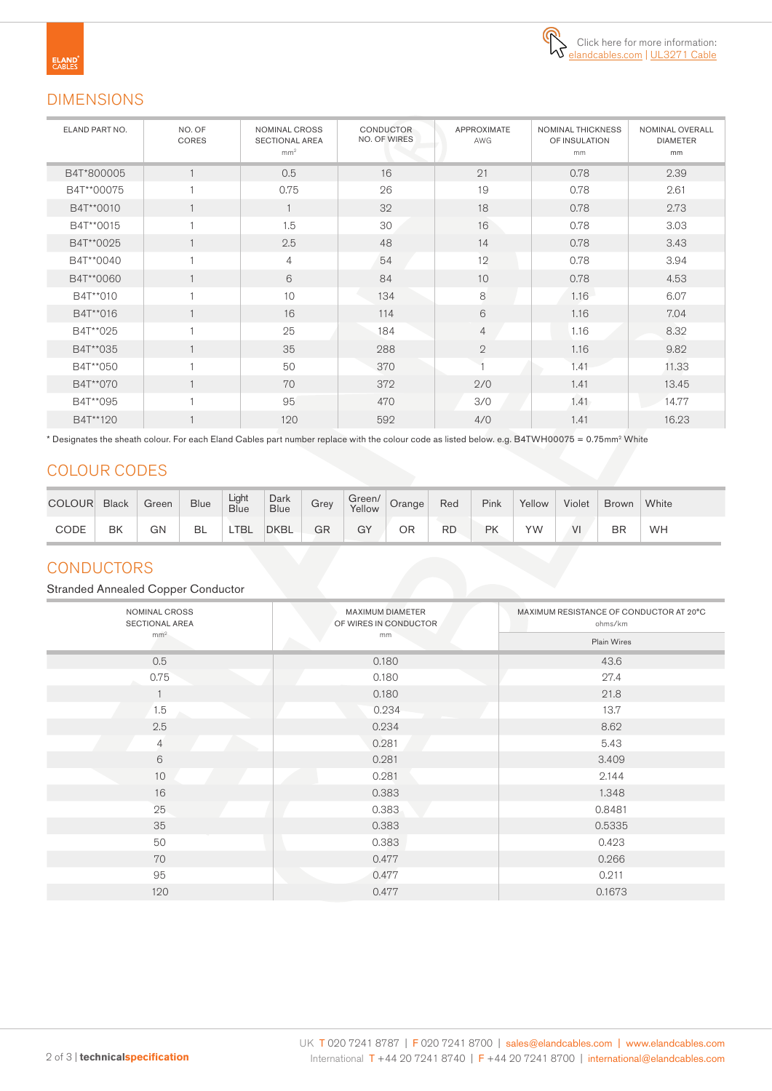

## DIMENSIONS

| ELAND PART NO. | NO. OF<br>CORES | NOMINAL CROSS<br><b>SECTIONAL AREA</b><br>mm <sup>2</sup> | <b>CONDUCTOR</b><br><b>NO. OF WIRES</b> | <b>APPROXIMATE</b><br>AWG | <b>NOMINAL THICKNESS</b><br>OF INSULATION<br>mm | NOMINAL OVERALL<br><b>DIAMETER</b><br>mm |
|----------------|-----------------|-----------------------------------------------------------|-----------------------------------------|---------------------------|-------------------------------------------------|------------------------------------------|
| B4T*800005     |                 | 0.5                                                       | 16                                      | 21                        | 0.78                                            | 2.39                                     |
| B4T**00075     |                 | 0.75                                                      | 26                                      | 19                        | 0.78                                            | 2.61                                     |
| B4T**0010      |                 |                                                           | 32                                      | 18                        | 0.78                                            | 2.73                                     |
| B4T**0015      |                 | 1.5                                                       | 30                                      | 16                        | 0.78                                            | 3.03                                     |
| B4T**0025      |                 | 2.5                                                       | 48                                      | 14                        | 0.78                                            | 3.43                                     |
| B4T**0040      |                 | 4                                                         | 54                                      | 12                        | 0.78                                            | 3.94                                     |
| B4T**0060      |                 | 6                                                         | 84                                      | 10                        | 0.78                                            | 4.53                                     |
| B4T**010       | 1               | 10                                                        | 134                                     | 8                         | 1.16                                            | 6.07                                     |
| B4T**016       | 1               | 16                                                        | 114                                     | 6                         | 1.16                                            | 7.04                                     |
| B4T**025       |                 | 25                                                        | 184                                     | $\overline{4}$            | 1.16                                            | 8.32                                     |
| B4T**035       |                 | 35                                                        | 288                                     | $\mathbf{2}$              | 1.16                                            | 9.82                                     |
| B4T**050       |                 | 50                                                        | 370                                     |                           | 1.41                                            | 11.33                                    |
| B4T**070       |                 | 70                                                        | 372                                     | 2/0                       | 1.41                                            | 13.45                                    |
| B4T**095       |                 | 95                                                        | 470                                     | 3/0                       | 1.41                                            | 14.77                                    |
| B4T**120       |                 | 120                                                       | 592                                     | 4/0                       | 1.41                                            | 16.23                                    |

\* Designates the sheath colour. For each Eland Cables part number replace with the colour code as listed below. e.g. B4TWH00075 = 0.75mm2 White

## COLOUR CODES

| <b>COLOUR</b> | <b>Black</b> | Green | <b>Blue</b> | Light<br>Blue | Dark<br><b>Blue</b> | Grey | Green/<br>Yellow | Orange | Red | Pink | Yellow | Violet | <b>Brown</b> | White |
|---------------|--------------|-------|-------------|---------------|---------------------|------|------------------|--------|-----|------|--------|--------|--------------|-------|
| CODE          | BK           | GN    | <b>BL</b>   | <b>TBL</b>    | <b>DKBL</b>         | GR   | GY               | ΟR     | RD  | РK   | YW     | VI     | <b>BR</b>    | WH    |

### **CONDUCTORS**

Stranded Annealed Copper Conductor

| NOMINAL CROSS<br>SECTIONAL AREA | MAXIMUM DIAMETER<br>OF WIRES IN CONDUCTOR | MAXIMUM RESISTANCE OF CONDUCTOR AT 20°C<br>ohms/km<br>Plain Wires |  |  |
|---------------------------------|-------------------------------------------|-------------------------------------------------------------------|--|--|
| mm <sup>2</sup>                 | mm                                        |                                                                   |  |  |
| 0.5                             | 0.180                                     | 43.6                                                              |  |  |
| 0.75                            | 0.180                                     | 27.4                                                              |  |  |
|                                 | 0.180                                     | 21.8                                                              |  |  |
| 1.5                             | 0.234                                     | 13.7                                                              |  |  |
| 2.5                             | 0.234                                     | 8.62                                                              |  |  |
| $\overline{4}$                  | 0.281                                     | 5.43                                                              |  |  |
| 6                               | 0.281                                     | 3.409                                                             |  |  |
| 10                              | 0.281                                     | 2.144                                                             |  |  |
| 16                              | 0.383                                     | 1.348                                                             |  |  |
| 25                              | 0.383                                     | 0.8481                                                            |  |  |
| 35                              | 0.383                                     | 0.5335                                                            |  |  |
| 50                              | 0.383                                     | 0.423                                                             |  |  |
| 70                              | 0.477                                     | 0.266                                                             |  |  |
| 95                              | 0.477                                     | 0.211                                                             |  |  |
| 120                             | 0.477                                     | 0.1673                                                            |  |  |